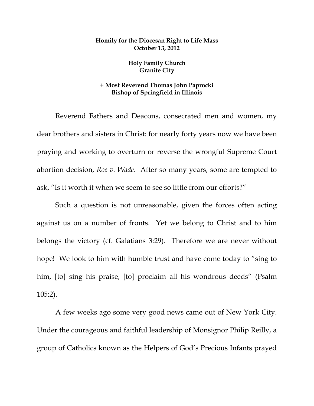## **Homily for the Diocesan Right to Life Mass October 13, 2012**

## **Holy Family Church Granite City**

## **+ Most Reverend Thomas John Paprocki Bishop of Springfield in Illinois**

 Reverend Fathers and Deacons, consecrated men and women, my dear brothers and sisters in Christ: for nearly forty years now we have been praying and working to overturn or reverse the wrongful Supreme Court abortion decision, *Roe v. Wade*. After so many years, some are tempted to ask, "Is it worth it when we seem to see so little from our efforts?"

 Such a question is not unreasonable, given the forces often acting against us on a number of fronts. Yet we belong to Christ and to him belongs the victory (cf. Galatians 3:29). Therefore we are never without hope! We look to him with humble trust and have come today to "sing to him, [to] sing his praise, [to] proclaim all his wondrous deeds" (Psalm 105:2).

 A few weeks ago some very good news came out of New York City. Under the courageous and faithful leadership of Monsignor Philip Reilly, a group of Catholics known as the Helpers of God's Precious Infants prayed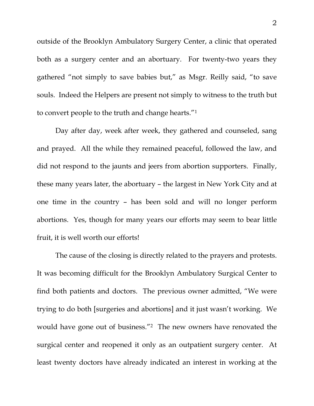outside of the Brooklyn Ambulatory Surgery Center, a clinic that operated both as a surgery center and an abortuary. For twenty-two years they gathered "not simply to save babies but," as Msgr. Reilly said, "to save souls. Indeed the Helpers are present not simply to witness to the truth but to convert people to the truth and change hearts."1

 Day after day, week after week, they gathered and counseled, sang and prayed. All the while they remained peaceful, followed the law, and did not respond to the jaunts and jeers from abortion supporters. Finally, these many years later, the abortuary – the largest in New York City and at one time in the country – has been sold and will no longer perform abortions. Yes, though for many years our efforts may seem to bear little fruit, it is well worth our efforts!

 The cause of the closing is directly related to the prayers and protests. It was becoming difficult for the Brooklyn Ambulatory Surgical Center to find both patients and doctors. The previous owner admitted, "We were trying to do both [surgeries and abortions] and it just wasn't working. We would have gone out of business."2 The new owners have renovated the surgical center and reopened it only as an outpatient surgery center. At least twenty doctors have already indicated an interest in working at the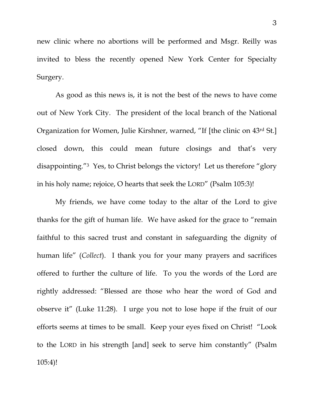new clinic where no abortions will be performed and Msgr. Reilly was invited to bless the recently opened New York Center for Specialty Surgery.

 As good as this news is, it is not the best of the news to have come out of New York City. The president of the local branch of the National Organization for Women, Julie Kirshner, warned, "If [the clinic on 43rd St.] closed down, this could mean future closings and that's very disappointing."3 Yes, to Christ belongs the victory! Let us therefore "glory in his holy name; rejoice, O hearts that seek the LORD" (Psalm 105:3)!

 My friends, we have come today to the altar of the Lord to give thanks for the gift of human life. We have asked for the grace to "remain faithful to this sacred trust and constant in safeguarding the dignity of human life" (*Collect*). I thank you for your many prayers and sacrifices offered to further the culture of life. To you the words of the Lord are rightly addressed: "Blessed are those who hear the word of God and observe it" (Luke 11:28). I urge you not to lose hope if the fruit of our efforts seems at times to be small. Keep your eyes fixed on Christ! "Look to the LORD in his strength [and] seek to serve him constantly" (Psalm 105:4)!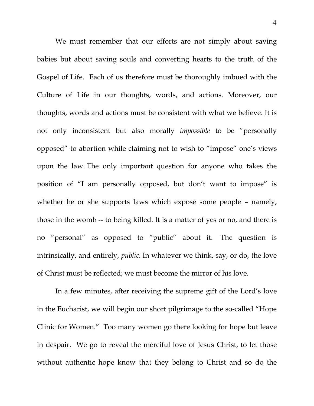We must remember that our efforts are not simply about saving babies but about saving souls and converting hearts to the truth of the Gospel of Life. Each of us therefore must be thoroughly imbued with the Culture of Life in our thoughts, words, and actions. Moreover, our thoughts, words and actions must be consistent with what we believe. It is not only inconsistent but also morally *impossible* to be "personally opposed" to abortion while claiming not to wish to "impose" one's views upon the law. The only important question for anyone who takes the position of "I am personally opposed, but don't want to impose" is whether he or she supports laws which expose some people – namely, those in the womb -- to being killed. It is a matter of yes or no, and there is no "personal" as opposed to "public" about it. The question is intrinsically, and entirely, *public.* In whatever we think, say, or do, the love of Christ must be reflected; we must become the mirror of his love.

 In a few minutes, after receiving the supreme gift of the Lord's love in the Eucharist, we will begin our short pilgrimage to the so-called "Hope Clinic for Women." Too many women go there looking for hope but leave in despair. We go to reveal the merciful love of Jesus Christ, to let those without authentic hope know that they belong to Christ and so do the